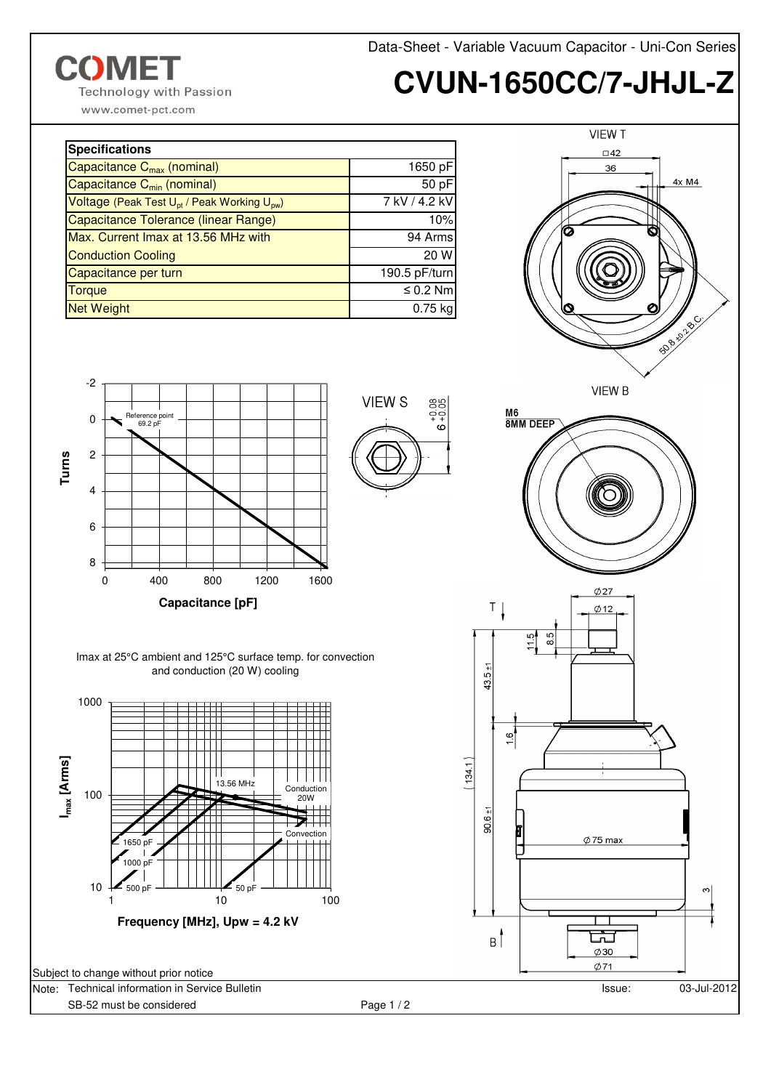**COMET Technology with Passion**  Data-Sheet - Variable Vacuum Capacitor - Uni-Con Series

## **CVUN-1650CC/7-JHJL-Z**

www.comet-pct.com

| <b>Specifications</b>                                               |               |
|---------------------------------------------------------------------|---------------|
| Capacitance C <sub>max</sub> (nominal)                              | 1650 pF       |
| Capacitance C <sub>min</sub> (nominal)                              | 50 pF         |
| Voltage (Peak Test U <sub>pt</sub> / Peak Working U <sub>pw</sub> ) | 7 kV / 4.2 kV |
| Capacitance Tolerance (linear Range)                                | 10%           |
| Max. Current Imax at 13.56 MHz with                                 | 94 Arms       |
| <b>Conduction Cooling</b>                                           | 20 W          |
| Capacitance per turn                                                | 190.5 pF/turn |
| <b>Torque</b>                                                       | $\leq 0.2$ Nm |
| <b>Net Weight</b>                                                   | $0.75$ kg     |





Imax at 25°C ambient and 125°C surface temp. for convection and conduction (20 W) cooling



Note: Technical information in Service Bulletin SB-52 must be considered Page 1 / 2

VIEW S

88

 $\frac{1}{2}$  $\epsilon$